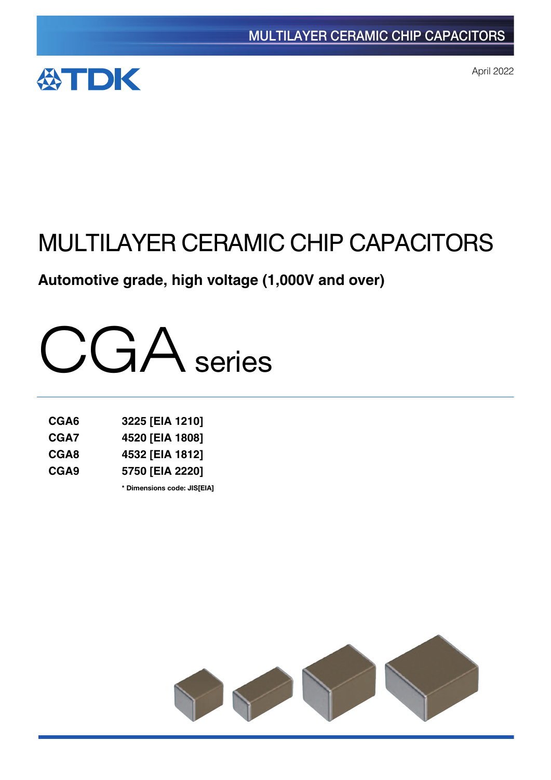

April 2022

# MULTILAYER CERAMIC CHIP CAPACITORS

# **Automotive grade, high voltage (1,000V and over)**



| CGA6             | 3225 [EIA 1210] |
|------------------|-----------------|
| CGA7             | 4520 [EIA 1808] |
| CGA8             | 4532 [EIA 1812] |
| CGA <sub>9</sub> | 5750 [EIA 2220] |

**\*** Dimensions code: JIS[EIA]

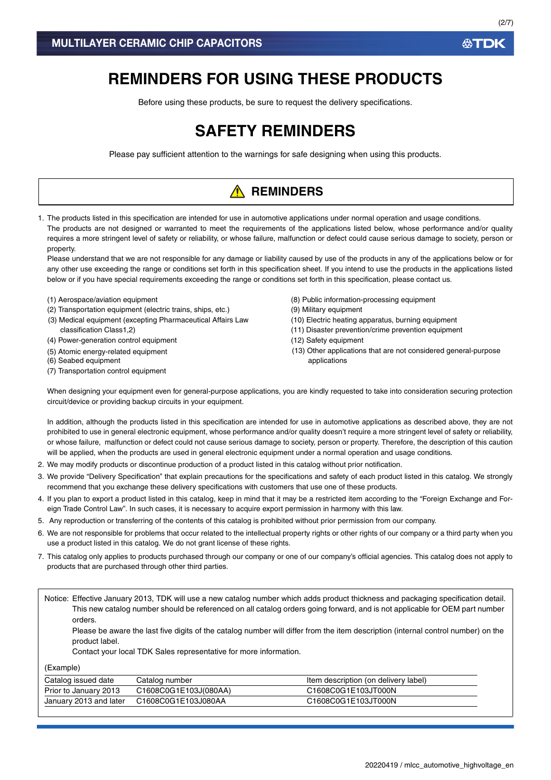# **REMINDERS FOR USING THESE PRODUCTS**

Before using these products, be sure to request the delivery specifications.

# **SAFETY REMINDERS**

Please pay sufficient attention to the warnings for safe designing when using this products.

# **A** REMINDERS

1. The products listed in this specification are intended for use in automotive applications under normal operation and usage conditions. The products are not designed or warranted to meet the requirements of the applications listed below, whose performance and/or quality requires a more stringent level of safety or reliability, or whose failure, malfunction or defect could cause serious damage to society, person or property.

Please understand that we are not responsible for any damage or liability caused by use of the products in any of the applications below or for any other use exceeding the range or conditions set forth in this specification sheet. If you intend to use the products in the applications listed below or if you have special requirements exceeding the range or conditions set forth in this specification, please contact us.

- (1) Aerospace/aviation equipment
- (2) Transportation equipment (electric trains, ships, etc.)
- (3) Medical equipment (excepting Pharmaceutical Affairs Law classification Class1,2)
- (4) Power-generation control equipment
- (5) Atomic energy-related equipment
- (6) Seabed equipment
- (7) Transportation control equipment
- (8) Public information-processing equipment
- (9) Military equipment
- (10) Electric heating apparatus, burning equipment
- (11) Disaster prevention/crime prevention equipment
- (12) Safety equipment
- (13) Other applications that are not considered general-purpose applications

When designing your equipment even for general-purpose applications, you are kindly requested to take into consideration securing protection circuit/device or providing backup circuits in your equipment.

In addition, although the products listed in this specification are intended for use in automotive applications as described above, they are not prohibited to use in general electronic equipment, whose performance and/or quality doesn't require a more stringent level of safety or reliability, or whose failure, malfunction or defect could not cause serious damage to society, person or property. Therefore, the description of this caution will be applied, when the products are used in general electronic equipment under a normal operation and usage conditions.

- 2. We may modify products or discontinue production of a product listed in this catalog without prior notification.
- 3. We provide "Delivery Specification" that explain precautions for the specifications and safety of each product listed in this catalog. We strongly recommend that you exchange these delivery specifications with customers that use one of these products.
- 4. If you plan to export a product listed in this catalog, keep in mind that it may be a restricted item according to the "Foreign Exchange and Foreign Trade Control Law". In such cases, it is necessary to acquire export permission in harmony with this law.
- 5. Any reproduction or transferring of the contents of this catalog is prohibited without prior permission from our company.
- 6. We are not responsible for problems that occur related to the intellectual property rights or other rights of our company or a third party when you use a product listed in this catalog. We do not grant license of these rights.
- 7. This catalog only applies to products purchased through our company or one of our company's official agencies. This catalog does not apply to products that are purchased through other third parties.

Notice: Effective January 2013, TDK will use a new catalog number which adds product thickness and packaging specification detail. This new catalog number should be referenced on all catalog orders going forward, and is not applicable for OEM part number orders.

Please be aware the last five digits of the catalog number will differ from the item description (internal control number) on the product label.

Contact your local TDK Sales representative for more information.

(Example)

| Catalog issued date    | Catalog number        | Item description (on delivery label) |
|------------------------|-----------------------|--------------------------------------|
| Prior to January 2013  | C1608C0G1E103J(080AA) | C1608C0G1E103JT000N                  |
| January 2013 and later | C1608C0G1E103J080AA   | C1608C0G1E103JT000N                  |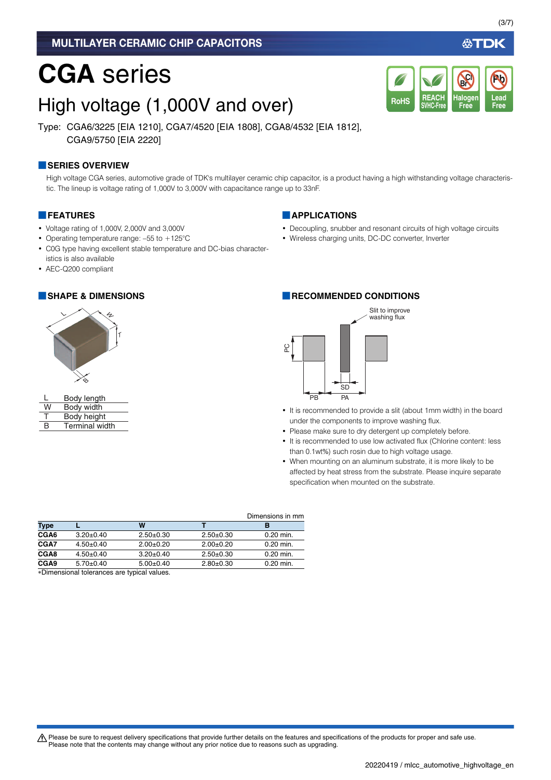## MULTILAYER CERAMIC CHIP CAPACITORS

# **CGA** series

# High voltage (1,000V and over)

Type: CGA6/3225 [EIA 1210], CGA7/4520 [EIA 1808], CGA8/4532 [EIA 1812], CGA9/5750 [EIA 2220]

### **■SERIES OVERVIEW**

High voltage CGA series, automotive grade of TDK's multilayer ceramic chip capacitor, is a product having a high withstanding voltage characteristic. The lineup is voltage rating of 1,000V to 3,000V with capacitance range up to 33nF.

### **■FEATURES**

- Voltage rating of 1,000V, 2,000V and 3,000V
- Operating temperature range: –55 to +125°C
- C0G type having excellent stable temperature and DC-bias characteristics is also available
- AEC-Q200 compliant



|   | Body length           |
|---|-----------------------|
| w | Body width            |
| т | Body height           |
| R | <b>Terminal width</b> |

### **■APPLICATIONS**

• Decoupling, snubber and resonant circuits of high voltage circuits

**REACH SVHC-Free**

RoHS SVHC-Free Free Free

**Halogen Free**

**Br Cl**

• Wireless charging units, DC-DC converter, Inverter

## **■SHAPE & DIMENSIONS ■RECOMMENDED CONDITIONS**



- It is recommended to provide a slit (about 1mm width) in the board under the components to improve washing flux.
- Please make sure to dry detergent up completely before.
- It is recommended to use low activated flux (Chlorine content: less than 0.1wt%) such rosin due to high voltage usage.
- When mounting on an aluminum substrate, it is more likely to be affected by heat stress from the substrate. Please inquire separate specification when mounted on the substrate.

|                  |                 |                 |             | Dimensions in mm |
|------------------|-----------------|-----------------|-------------|------------------|
| Type             |                 | w               |             | в                |
| CGA6             | $3.20 \pm 0.40$ | $2.50+0.30$     | $2.50+0.30$ | $0.20$ min.      |
| CGA7             | $4.50+0.40$     | $2.00+0.20$     | $2.00+0.20$ | $0.20$ min.      |
| CGA8             | $4.50+0.40$     | $3.20 \pm 0.40$ | $2.50+0.30$ | $0.20$ min.      |
| CGA <sub>9</sub> | $5.70+0.40$     | $5.00 \pm 0.40$ | $2.80+0.30$ | 0.20 min.        |

Dimensional tolerances are typical values.

A Please be sure to request delivery specifications that provide further details on the features and specifications of the products for proper and safe use. Please note that the contents may change without any prior notice due to reasons such as upgrading.

**Lead**

**Pb**

∰TDK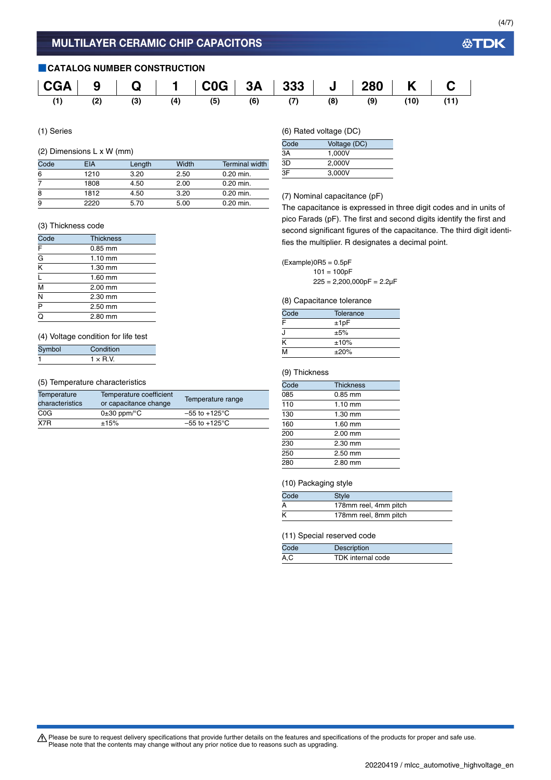(4/7)

## **■CATALOG NUMBER CONSTRUCTION**



(1) Series

## (2) Dimensions L x W (mm)

| Code | EIA  | Length | Width | <b>Terminal width</b> |
|------|------|--------|-------|-----------------------|
| 6    | 1210 | 3.20   | 2.50  | $0.20$ min.           |
|      | 1808 | 4.50   | 2.00  | $0.20$ min.           |
| 8    | 1812 | 4.50   | 3.20  | $0.20$ min.           |
| 9    | 2220 | 5.70   | 5.00  | $0.20$ min.           |

#### (3) Thickness code

| Code                    | <b>Thickness</b> |  |
|-------------------------|------------------|--|
| $rac{\overline{F}}{G}$  | $0.85$ mm        |  |
|                         | $1.10$ mm        |  |
| $\overline{\rm K}$      | 1.30 mm          |  |
| L                       | 1.60 mm          |  |
| $\overline{\mathsf{M}}$ | 2.00 mm          |  |
| Ñ                       | 2.30 mm          |  |
| $\overline{P}$          | 2.50 mm          |  |
| ō                       | 2.80 mm          |  |

#### (4) Voltage condition for life test

| Symbol | Condition       |
|--------|-----------------|
|        | $1 \times R.V.$ |

#### (5) Temperature characteristics

| Temperature<br>characteristics | Temperature coefficient<br>or capacitance change | Temperature range         |
|--------------------------------|--------------------------------------------------|---------------------------|
| C <sub>0</sub> G               | $0\pm 30$ ppm/ $\degree$ C                       | $-55$ to $+125^{\circ}$ C |
| X7R                            | ±15%                                             | $-55$ to +125°C           |

(6) Rated voltage (DC)

| Code | Voltage (DC) |
|------|--------------|
| ЗA   | 1.000V       |
| 3D   | 2.000V       |
| ЗF   | 3.000V       |

#### (7) Nominal capacitance (pF)

The capacitance is expressed in three digit codes and in units of pico Farads (pF). The first and second digits identify the first and second significant figures of the capacitance. The third digit identifies the multiplier. R designates a decimal point.

 $(Example)$ OR5 = 0.5pF  $101 = 100pF$  $225 = 2,200,000pF = 2.2pF$ 

#### (8) Capacitance tolerance

| Code | Tolerance |
|------|-----------|
| F    | ±1pF      |
| J    | ±5%       |
| ĸ    | ±10%      |
| M    | ±20%      |

### (9) Thickness

| Code | <b>Thickness</b> |  |
|------|------------------|--|
| 085  | $0.85$ mm        |  |
| 110  | $1.10$ mm        |  |
| 130  | $1.30$ mm        |  |
| 160  | 1.60 mm          |  |
| 200  | $2.00$ mm        |  |
| 230  | $2.30$ mm        |  |
| 250  | 2.50 mm          |  |
| 280  | 2.80 mm          |  |

#### (10) Packaging style

| Code | <b>Style</b>          |
|------|-----------------------|
| A    | 178mm reel, 4mm pitch |
| К    | 178mm reel, 8mm pitch |

#### (11) Special reserved code

| Code | Description       |
|------|-------------------|
| A.C  | TDK internal code |

Please be sure to request delivery specifications that provide further details on the features and specifications of the products for proper and safe use.<br>Please note that the contents may change without any prior notice d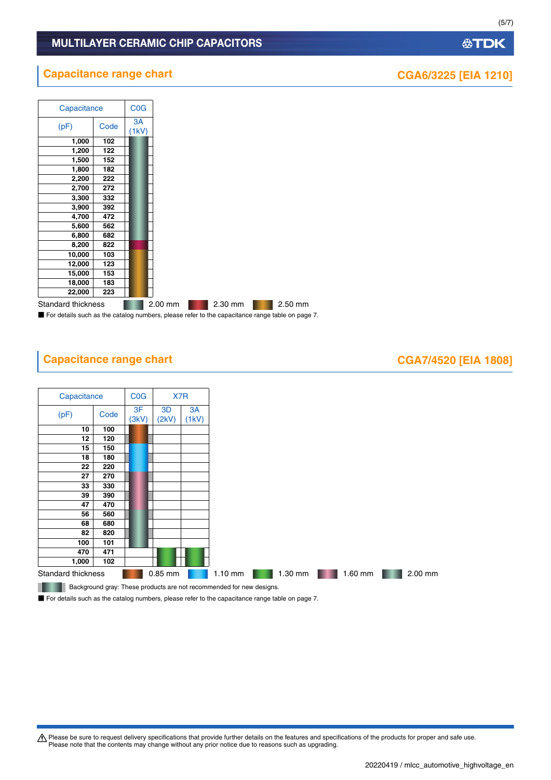Please be sure to request delivery specifications that provide further details on the features and specifications of the products for proper and safe use.<br>Please note that the contents may change without any prior notice d

**公TDK** 

# MULTILAYER CERAMIC CHIP CAPACITORS

 $\overline{\phantom{a}}$ 

# **Capacitance range chart CGA6/3225 [EIA 1210]**

┱

| Capacitance        |      | COG         |         |         |         |
|--------------------|------|-------------|---------|---------|---------|
| (pF)               | Code | 3A<br>(1kV) |         |         |         |
| 1,000              | 102  |             |         |         |         |
| 1,200              | 122  |             |         |         |         |
| 1,500              | 152  |             |         |         |         |
| 1,800              | 182  |             |         |         |         |
| 2,200              | 222  |             |         |         |         |
| 2,700              | 272  |             |         |         |         |
| 3,300              | 332  |             |         |         |         |
| 3,900              | 392  |             |         |         |         |
| 4,700              | 472  |             |         |         |         |
| 5,600              | 562  |             |         |         |         |
| 6,800              | 682  |             |         |         |         |
| 8,200              | 822  |             |         |         |         |
| 10,000             | 103  |             |         |         |         |
| 12,000             | 123  |             |         |         |         |
| 15,000             | 153  |             |         |         |         |
| 18,000             | 183  |             |         |         |         |
| 22,000             | 223  |             |         |         |         |
| Standard thickness |      |             | 2.00 mm | 2.30 mm | 2.50 mm |

■ For details such as the catalog numbers, please refer to the capacitance range table on page 7.

# **Capacitance range chart CGA7/4520 [EIA 1808]**



■ For details such as the catalog numbers, please refer to the capacitance range table on page 7.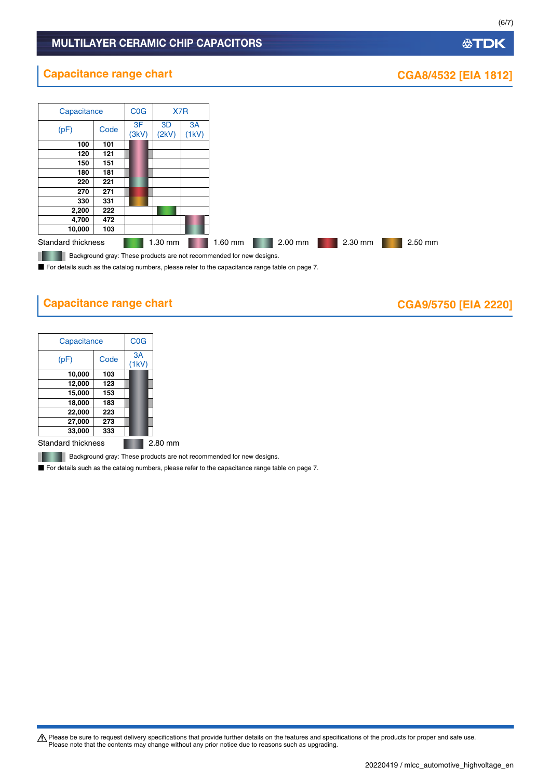## MULTILAYER CERAMIC CHIP CAPACITORS

## **公TDK**

# **Capacitance range chart CGA8/4532 [EIA 1812]**



■ For details such as the catalog numbers, please refer to the capacitance range table on page 7.

# **Capacitance range chart CASE 100 CGA9/5750 [EIA 2220]**

| Capacitance | <b>C<sub>O</sub></b> G |  |
|-------------|------------------------|--|
| (pF)        | 3A<br>H                |  |
| 10,000      | 103                    |  |
| 12,000      | 123                    |  |
| 15,000      | 153                    |  |
| 18,000      | 183                    |  |
| 22,000      | 223                    |  |
| 27,000      | 273                    |  |
| 33,000      | 333                    |  |

Standard thickness **2.80 mm** 

**Background gray: These products are not recommended for new designs.** 

■ For details such as the catalog numbers, please refer to the capacitance range table on page 7.

Please be sure to request delivery specifications that provide further details on the features and specifications of the products for proper and safe use.<br>Please note that the contents may change without any prior notice d